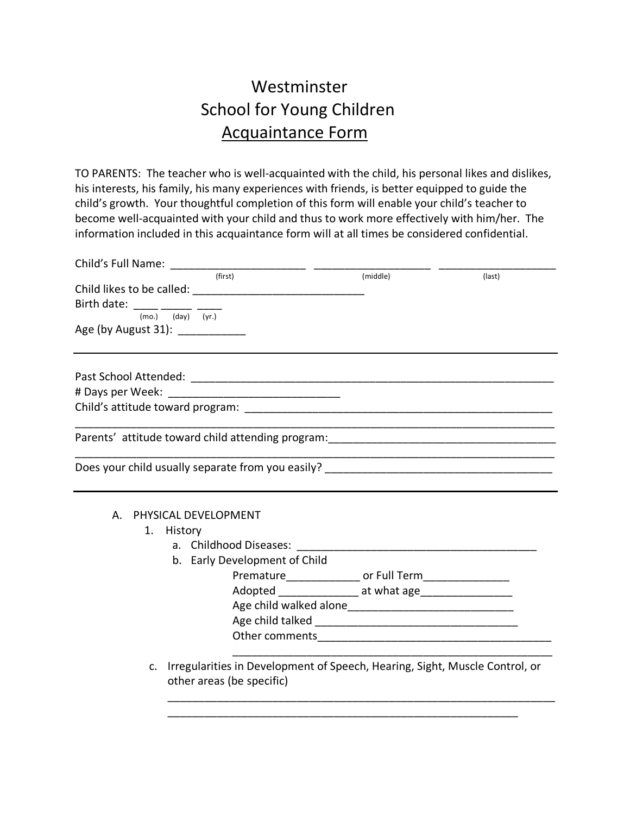## Westminster School for Young Children Acquaintance Form

TO PARENTS: The teacher who is well-acquainted with the child, his personal likes and dislikes, his interests, his family, his many experiences with friends, is better equipped to guide the child's growth. Your thoughtful completion of this form will enable your child's teacher to become well-acquainted with your child and thus to work more effectively with him/her. The information included in this acquaintance form will at all times be considered confidential.

| Child's Full Name: ________                                                                                                |                                                            |        |
|----------------------------------------------------------------------------------------------------------------------------|------------------------------------------------------------|--------|
| (first)<br>Birth date: _____ _____ ____<br>(mo.)<br>$(dav)$ $(vr.)$<br>Age (by August 31): ___________                     | (middle)                                                   | (last) |
|                                                                                                                            |                                                            |        |
|                                                                                                                            |                                                            |        |
|                                                                                                                            |                                                            |        |
| Parents' attitude toward child attending program: [14] [2012] [2012] [2012] [2012] [2012] [2012] [2012] [2012]             |                                                            |        |
|                                                                                                                            |                                                            |        |
|                                                                                                                            |                                                            |        |
| PHYSICAL DEVELOPMENT<br>А.<br>1.<br>History                                                                                |                                                            |        |
| a. Childhood Diseases: 2008. 2009. 2009. 2009. 2010. 2010. 2010. 2010. 2011. 2012. 2014. 2016. 2017. 2018. 201             |                                                            |        |
| b. Early Development of Child                                                                                              |                                                            |        |
|                                                                                                                            | Premature__________________ or Full Term__________________ |        |
|                                                                                                                            | Adopted ________________ at what age___________________    |        |
|                                                                                                                            |                                                            |        |
|                                                                                                                            |                                                            |        |
|                                                                                                                            |                                                            |        |
| Irregularities in Development of Speech, Hearing, Sight, Muscle Control, or<br>$\mathsf{C}$ .<br>other areas (be specific) |                                                            |        |

\_\_\_\_\_\_\_\_\_\_\_\_\_\_\_\_\_\_\_\_\_\_\_\_\_\_\_\_\_\_\_\_\_\_\_\_\_\_\_\_\_\_\_\_\_\_\_\_\_\_\_\_\_\_\_\_\_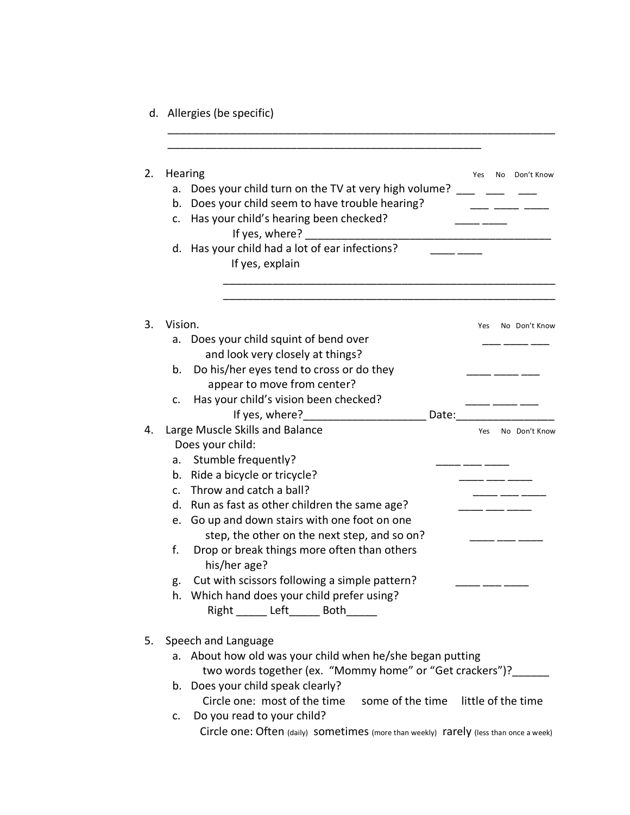d. Allergies (be specific)

|              | Hearing                                                                               |       | Yes | No | Don't Know    |
|--------------|---------------------------------------------------------------------------------------|-------|-----|----|---------------|
| a.           | Does your child turn on the TV at very high volume?                                   |       |     |    |               |
| b.           | Does your child seem to have trouble hearing?                                         |       |     |    |               |
| c.           | Has your child's hearing been checked?                                                |       |     |    |               |
|              | If yes, where?                                                                        |       |     |    |               |
| d.           | Has your child had a lot of ear infections?                                           |       |     |    |               |
|              | If yes, explain                                                                       |       |     |    |               |
|              |                                                                                       |       |     |    |               |
| Vision.      |                                                                                       |       | Yes |    | No Don't Know |
| a.           | Does your child squint of bend over                                                   |       |     |    |               |
|              | and look very closely at things?                                                      |       |     |    |               |
| b.           | Do his/her eyes tend to cross or do they                                              |       |     |    |               |
|              | appear to move from center?                                                           |       |     |    |               |
| c.           | Has your child's vision been checked?                                                 |       |     |    |               |
|              | If yes, where?                                                                        | Date: |     |    |               |
|              | Large Muscle Skills and Balance                                                       |       | Yes |    | No Don't Know |
|              | Does your child:                                                                      |       |     |    |               |
| a.           | Stumble frequently?                                                                   |       |     |    |               |
| b.           | Ride a bicycle or tricycle?                                                           |       |     |    |               |
| $C_{\rm{f}}$ | Throw and catch a ball?                                                               |       |     |    |               |
| d.           | Run as fast as other children the same age?                                           |       |     |    |               |
| e.           | Go up and down stairs with one foot on one                                            |       |     |    |               |
|              | step, the other on the next step, and so on?                                          |       |     |    |               |
| f.           | Drop or break things more often than others<br>his/her age?                           |       |     |    |               |
| g.           | Cut with scissors following a simple pattern?                                         |       |     |    |               |
| h.           | Which hand does your child prefer using?                                              |       |     |    |               |
|              | Right ______ Left______ Both______                                                    |       |     |    |               |
|              | Speech and Language                                                                   |       |     |    |               |
|              | a. About how old was your child when he/she began putting                             |       |     |    |               |
|              | two words together (ex. "Mommy home" or "Get crackers")?                              |       |     |    |               |
|              | b. Does your child speak clearly?                                                     |       |     |    |               |
|              | Circle one: most of the time some of the time little of the time                      |       |     |    |               |
| C.           | Do you read to your child?                                                            |       |     |    |               |
|              | Circle one: Often (daily) sometimes (more than weekly) rarely (less than once a week) |       |     |    |               |

\_\_\_\_\_\_\_\_\_\_\_\_\_\_\_\_\_\_\_\_\_\_\_\_\_\_\_\_\_\_\_\_\_\_\_\_\_\_\_\_\_\_\_\_\_\_\_\_\_\_\_\_\_\_\_\_\_\_\_\_\_\_\_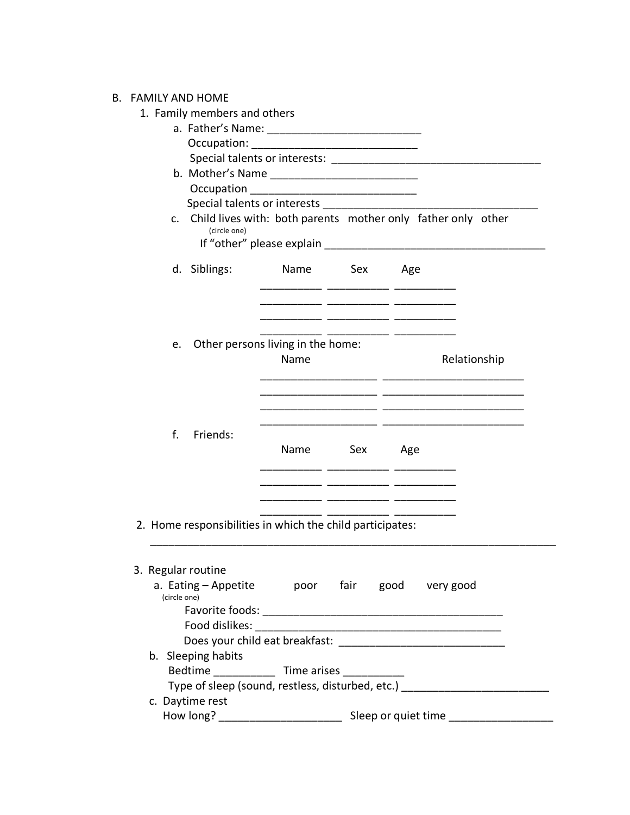## B. FAMILY AND HOME

## 1. Family members and others

| (circle one)                                              |      |              | c. Child lives with: both parents mother only father only other |
|-----------------------------------------------------------|------|--------------|-----------------------------------------------------------------|
| d. Siblings: Name Sex Age                                 |      |              |                                                                 |
|                                                           |      |              |                                                                 |
| e. Other persons living in the home:                      |      |              |                                                                 |
|                                                           | Name |              | Relationship                                                    |
|                                                           |      |              |                                                                 |
| f.<br>Friends:                                            |      | Name Sex Age |                                                                 |
| 2. Home responsibilities in which the child participates: |      |              |                                                                 |
| 3. Regular routine                                        |      |              |                                                                 |
|                                                           |      |              | a. Eating - Appetite boor fair good very good                   |
| (circle one)                                              |      |              |                                                                 |
|                                                           |      |              |                                                                 |
| Food dislikes:                                            |      |              |                                                                 |
|                                                           |      |              |                                                                 |
| b. Sleeping habits                                        |      |              |                                                                 |
| Bedtime _______________ Time arises ____________          |      |              |                                                                 |
|                                                           |      |              | Type of sleep (sound, restless, disturbed, etc.)                |
|                                                           |      |              |                                                                 |
| c. Daytime rest                                           |      |              |                                                                 |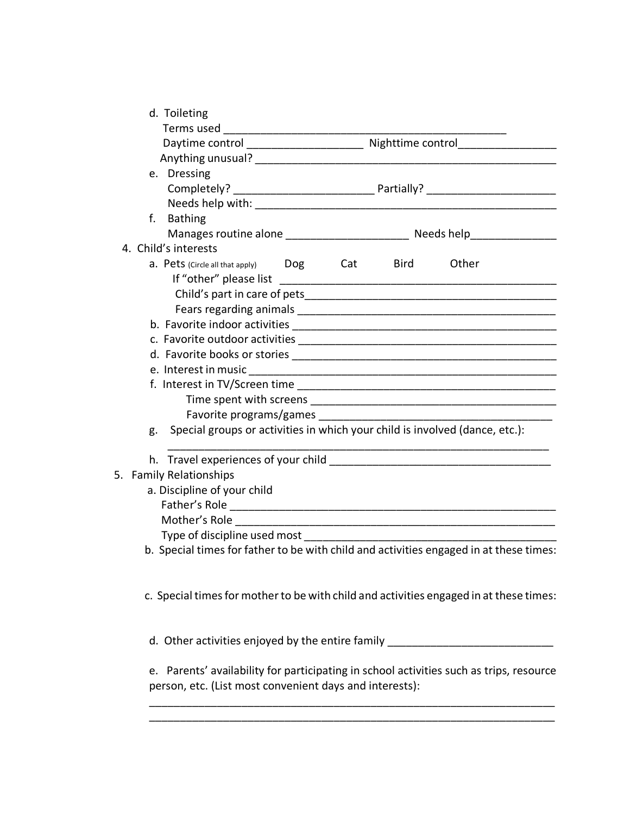| d. Toileting                               |                                                                                         |
|--------------------------------------------|-----------------------------------------------------------------------------------------|
|                                            |                                                                                         |
|                                            |                                                                                         |
|                                            |                                                                                         |
| e. Dressing                                |                                                                                         |
|                                            |                                                                                         |
|                                            |                                                                                         |
| f.<br><b>Bathing</b>                       |                                                                                         |
|                                            |                                                                                         |
| 4. Child's interests                       |                                                                                         |
| <b>a.</b> Pets (Circle all that apply) Dog | Cat Bird<br>Other                                                                       |
|                                            |                                                                                         |
|                                            |                                                                                         |
|                                            |                                                                                         |
|                                            |                                                                                         |
|                                            |                                                                                         |
|                                            |                                                                                         |
|                                            |                                                                                         |
|                                            |                                                                                         |
|                                            |                                                                                         |
|                                            |                                                                                         |
| g.                                         | Special groups or activities in which your child is involved (dance, etc.):             |
|                                            |                                                                                         |
| 5. Family Relationships                    |                                                                                         |
| a. Discipline of your child                |                                                                                         |
|                                            |                                                                                         |
|                                            |                                                                                         |
| Type of discipline used most               |                                                                                         |
|                                            | b. Special times for father to be with child and activities engaged in at these times:  |
|                                            | c. Special times for mother to be with child and activities engaged in at these times:  |
|                                            | d. Other activities enjoyed by the entire family _______________________________        |
|                                            | e. Parents' availability for participating in school activities such as trips, resource |
|                                            | experience of the property consequent developed interpreted.                            |

person, etc. (List most convenient days and interests):

\_\_\_\_\_\_\_\_\_\_\_\_\_\_\_\_\_\_\_\_\_\_\_\_\_\_\_\_\_\_\_\_\_\_\_\_\_\_\_\_\_\_\_\_\_\_\_\_\_\_\_\_\_\_\_\_\_\_\_\_\_\_\_\_\_\_ \_\_\_\_\_\_\_\_\_\_\_\_\_\_\_\_\_\_\_\_\_\_\_\_\_\_\_\_\_\_\_\_\_\_\_\_\_\_\_\_\_\_\_\_\_\_\_\_\_\_\_\_\_\_\_\_\_\_\_\_\_\_\_\_\_\_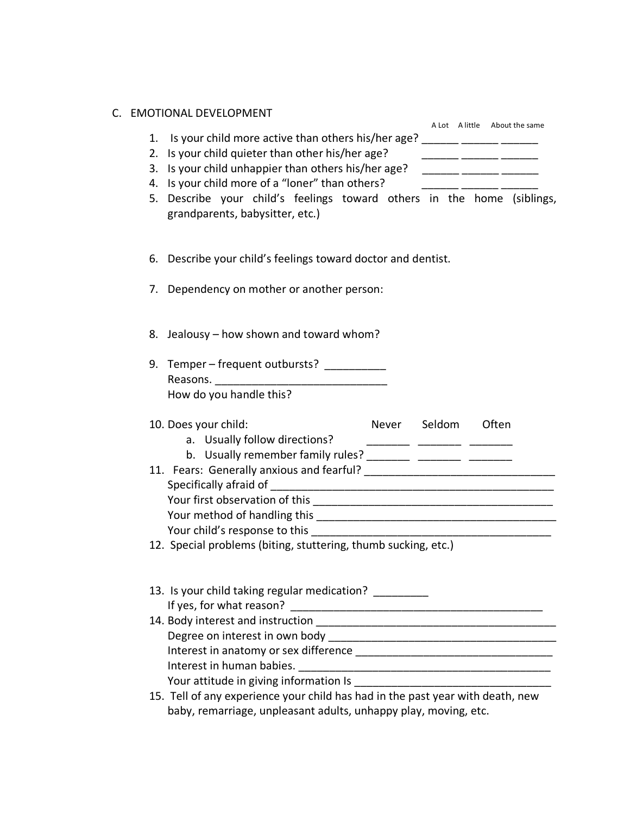| C. EMOTIONAL DEVELOPMENT |
|--------------------------|
|--------------------------|

|    | C. EMOTIONAL DEVELOPMENT                                                                                                                                                                                                       |  | A Lot A little About the same |  |
|----|--------------------------------------------------------------------------------------------------------------------------------------------------------------------------------------------------------------------------------|--|-------------------------------|--|
| 1. | Is your child more active than others his/her age?                                                                                                                                                                             |  |                               |  |
|    | 2. Is your child quieter than other his/her age?                                                                                                                                                                               |  |                               |  |
|    | 3. Is your child unhappier than others his/her age?                                                                                                                                                                            |  |                               |  |
|    | 4. Is your child more of a "loner" than others?                                                                                                                                                                                |  |                               |  |
|    | 5. Describe your child's feelings toward others in the home (siblings,                                                                                                                                                         |  |                               |  |
|    | grandparents, babysitter, etc.)                                                                                                                                                                                                |  |                               |  |
|    |                                                                                                                                                                                                                                |  |                               |  |
|    | 6. Describe your child's feelings toward doctor and dentist.                                                                                                                                                                   |  |                               |  |
|    | 7. Dependency on mother or another person:                                                                                                                                                                                     |  |                               |  |
|    |                                                                                                                                                                                                                                |  |                               |  |
|    | 8. Jealousy – how shown and toward whom?                                                                                                                                                                                       |  |                               |  |
|    |                                                                                                                                                                                                                                |  |                               |  |
|    | 9. Temper – frequent outbursts? __________                                                                                                                                                                                     |  |                               |  |
|    |                                                                                                                                                                                                                                |  |                               |  |
|    | How do you handle this?                                                                                                                                                                                                        |  |                               |  |
|    | 10. Does your child:                                                                                                                                                                                                           |  | Never Seldom Often            |  |
|    | a. Usually follow directions?                                                                                                                                                                                                  |  |                               |  |
|    | b. Usually remember family rules? __________ _________ _________                                                                                                                                                               |  |                               |  |
|    |                                                                                                                                                                                                                                |  |                               |  |
|    |                                                                                                                                                                                                                                |  |                               |  |
|    |                                                                                                                                                                                                                                |  |                               |  |
|    |                                                                                                                                                                                                                                |  |                               |  |
|    |                                                                                                                                                                                                                                |  |                               |  |
|    | 12. Special problems (biting, stuttering, thumb sucking, etc.)                                                                                                                                                                 |  |                               |  |
|    |                                                                                                                                                                                                                                |  |                               |  |
|    | 13. Is your child taking regular medication?                                                                                                                                                                                   |  |                               |  |
|    | If yes, for what reason?                                                                                                                                                                                                       |  |                               |  |
|    | 14. Body interest and instruction                                                                                                                                                                                              |  |                               |  |
|    | Degree on interest in own body                                                                                                                                                                                                 |  |                               |  |
|    | Interest in anatomy or sex difference examples are all the set of the set of the set of the set of the set of the set of the set of the set of the set of the set of the set of the set of the set of the set of the set of th |  |                               |  |
|    |                                                                                                                                                                                                                                |  |                               |  |
|    | Your attitude in giving information Is                                                                                                                                                                                         |  |                               |  |

15. Tell of any experience your child has had in the past year with death, new baby, remarriage, unpleasant adults, unhappy play, moving, etc.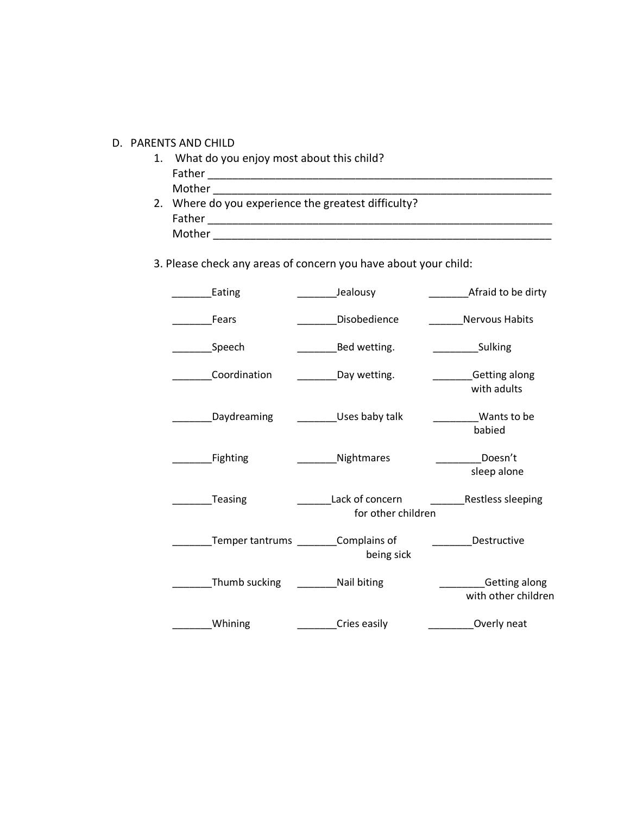## D. PARENTS AND CHILD

1. What do you enjoy most about this child? Father \_\_\_\_\_\_\_\_\_\_\_\_\_\_\_\_\_\_\_\_\_\_\_\_\_\_\_\_\_\_\_\_\_\_\_\_\_\_\_\_\_\_\_\_\_\_\_\_\_\_\_\_\_\_\_\_ Mother  $\overline{\phantom{a}}$ 2. Where do you experience the greatest difficulty? Father \_\_\_\_\_\_\_\_\_\_\_\_\_\_\_\_\_\_\_\_\_\_\_\_\_\_\_\_\_\_\_\_\_\_\_\_\_\_\_\_\_\_\_\_\_\_\_\_\_\_\_\_\_\_\_\_

Mother \_\_\_\_\_\_\_\_\_\_\_\_\_\_\_\_\_\_\_\_\_\_\_\_\_\_\_\_\_\_\_\_\_\_\_\_\_\_\_\_\_\_\_\_\_\_\_\_\_\_\_\_\_\_\_

3. Please check any areas of concern you have about your child:

| Eating          | Jealousy                              | Afraid to be dirty                          |
|-----------------|---------------------------------------|---------------------------------------------|
| Fears           | Disobedience                          | <b>Nervous Habits</b>                       |
| Speech          | Bed wetting.                          | Sulking                                     |
| Coordination    | Day wetting.                          | <b>Getting along</b><br>with adults         |
| Daydreaming     | Uses baby talk                        | Wants to be<br>babied                       |
| Fighting        | Nightmares                            | Doesn't<br>sleep alone                      |
| Teasing         | Lack of concern<br>for other children | <b>Restless sleeping</b>                    |
| Temper tantrums | Complains of<br>being sick            | Destructive                                 |
| Thumb sucking   | Nail biting                           | <b>Getting along</b><br>with other children |
| Whining         | Cries easily                          | Overly neat                                 |